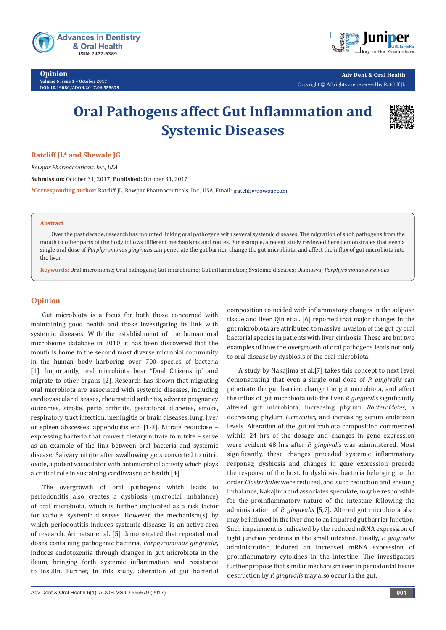

**Opinion Volume 6 Issue 1** - **October 2017 DOI: [10.19080/ADOH.2017.06.555679](http://dx.doi.org/10.19080/ADOH.2017.06.555679)**



**Adv Dent & Oral Health**  Copyright © All rights are reserved by Ratcliff JL

# **Oral Pathogens affect Gut Inflammation and Systemic Diseases**



## **Ratcliff JL\* and Shewale JG**

*Rowpar Pharmaceuticals, Inc., USA*

**Submission:** October 31, 2017; **Published:** October 31, 2017

**\*Corresponding author:** Ratcliff JL, Rowpar Pharmaceuticals, Inc., USA, Email:

#### **Abstract**

Over the past decade, research has mounted linking oral pathogens with several systemic diseases. The migration of such pathogens from the mouth to other parts of the body follows different mechanisms and routes. For example, a recent study reviewed here demonstrates that even a single oral dose of *Porphyromonas gingivalis* can penetrate the gut barrier, change the gut microbiota, and affect the influx of gut microbiota into the liver.

**Keywords:** Oral microbiome; Oral pathogens; Gut microbiome; Gut inflammation; Systemic diseases; Disbiosys; *Porphyromonas gingivalis*

## **Opinion**

Gut microbiota is a focus for both those concerned with maintaining good health and those investigating its link with systemic diseases. With the establishment of the human oral microbiome database in 2010, it has been discovered that the mouth is home to the second most diverse microbial community in the human body harboring over 700 species of bacteria [1]. Importantly, oral microbiota bear "Dual Citizenship" and migrate to other organs [2]. Research has shown that migrating oral microbiota are associated with systemic diseases, including cardiovascular diseases, rheumatoid arthritis, adverse pregnancy outcomes, stroke, perio arthritis, gestational diabetes, stroke, respiratory tract infection, meningitis or brain diseases, lung, liver or spleen abscesses, appendicitis etc. [1-3]. Nitrate reductase – expressing bacteria that convert dietary nitrate to nitrite – serve as an example of the link between oral bacteria and systemic disease. Salivary nitrite after swallowing gets converted to nitric oxide, a potent vasodilator with antimicrobial activity which plays a critical role in sustaining cardiovascular health [4].

The overgrowth of oral pathogens which leads to periodontitis also creates a dysbiosis (microbial imbalance) of oral microbiota, which is further implicated as a risk factor for various systemic diseases. However, the mechanism(s) by which periodontitis induces systemic diseases is an active area of research. Arimatsu et al. [5] demonstrated that repeated oral doses containing pathogenic bacteria, *Porphyromonas gingivalis*, induces endotoxemia through changes in gut microbiota in the ileum, bringing forth systemic inflammation and resistance to insulin. Further, in this study, alteration of gut bacterial

composition coincided with inflammatory changes in the adipose tissue and liver. Qin et al. [6] reported that major changes in the gut microbiota are attributed to massive invasion of the gut by oral bacterial species in patients with liver cirrhosis. These are but two examples of how the overgrowth of oral pathogens leads not only to oral disease by dysbiosis of the oral microbiota.

A study by Nakajima et al.[7] takes this concept to next level demonstrating that even a single oral dose of *P. gingivalis* can penetrate the gut barrier, change the gut microbiota, and affect the influx of gut microbiota into the liver. *P. gingivalis* significantly altered gut microbiota, increasing phylum *Bacteroidetes*, a decreasing phylum *Firmicutes*, and increasing serum endotoxin levels. Alteration of the gut microbiota composition commenced within 24 hrs of the dosage and changes in gene expression were evident 48 hrs after *P. gingivalis* was administered. Most significantly, these changes preceded systemic inflammatory response; dysbiosis and changes in gene expression precede the response of the host. In dysbiosis, bacteria belonging to the order *Clostridiales* were reduced, and such reduction and ensuing imbalance, Nakajima and associates speculate, may be responsible for the proinflammatory nature of the intestine following the administration of *P. gingivalis* [5,7]. Altered gut microbiota also may be influxed in the liver due to an impaired gut barrier function. Such impairment is indicated by the reduced mRNA expression of tight junction proteins in the small intestine. Finally, *P. gingivalis* administration induced an increased mRNA expression of proinflammatory cytokines in the intestine. The investigators further propose that similar mechanism seen in periodontal tissue destruction by *P. gingivalis* may also occur in the gut.